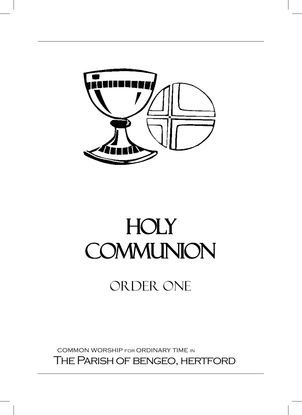

# Holy Holy Communion Communion

# Order one Order one

 common worship for ordinary time in THE PARISH OF BENGEO, HERTFORD The Parish of bengeo, hertford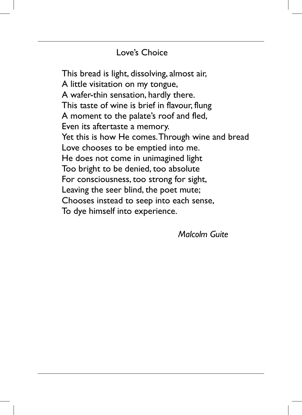# Love's Choice

This bread is light, dissolving, almost air, A little visitation on my tongue, A wafer-thin sensation, hardly there. This taste of wine is brief in flavour, flung A moment to the palate's roof and fled, Even its aftertaste a memory. Yet this is how He comes. Through wine and bread Love chooses to be emptied into me. He does not come in unimagined light Too bright to be denied, too absolute For consciousness, too strong for sight, Leaving the seer blind, the poet mute; Chooses instead to seep into each sense, To dye himself into experience.

*Malcolm Guite*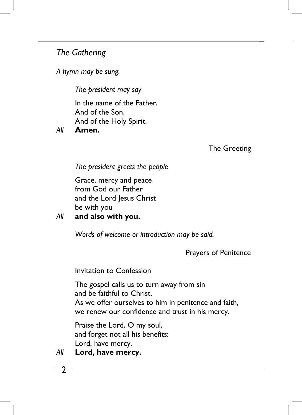# *The Gathering The Gathering*

*A hymn may be sung. A hymn may be sung.*

*The president may say The president may say*

In the name of the Father, In the name of the Father, And of the Son, And of the Son, And of the Holy Spirit. And of the Holy Spirit.

*All* **Amen.** *All* **Amen.**

The Greeting The Greeting

*The president greets the people The president greets the people*

Grace, mercy and peace Grace, mercy and peace from God our Father from God our Father and the Lord Jesus Christ and the Lord Jesus Christ be with you be with you

*All* **and also with you.** *All* **and also with you.**

*Words of welcome or introduction may be said. Words of welcome or introduction may be said.*

Prayers of Penitence Prayers of Penitence

Invitation to Confession Invitation to Confession

The gospel calls us to turn away from sin The gospel calls us to turn away from sin and be faithful to Christ. and be faithful to Christ. As we offer ourselves to him in penitence and faith, As we offer ourselves to him in penitence and faith, we renew our confidence and trust in his mercy. we renew our confidence and trust in his mercy.

Praise the Lord, O my soul, Praise the Lord, O my soul, and forget not all his benefits: and forget not all his benefits: Lord, have mercy. Lord, have mercy.

### *All* **Lord, have mercy.** *All* **Lord, have mercy.**

2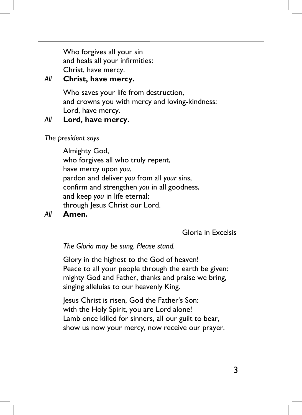Who forgives all your sin Who forgives all your sin and heals all your infirmities: and heals all your infirmities: Christ, have mercy. Christ, have mercy.

# *All* **Christ, have mercy.** *All* **Christ, have mercy.**

Who saves your life from destruction, Who saves your life from destruction, and crowns you with mercy and loving-kindness: and crowns you with mercy and loving-kindness: Lord, have mercy. Lord, have mercy.

#### *All* **Lord, have mercy.** *All* **Lord, have mercy.**

*The president says The president says* 

Almighty God, Almighty God, who forgives all who truly repent, who forgives all who truly repent, have mercy upon *you*, have mercy upon *you*, pardon and deliver *you* from all *your* sins, pardon and deliver *you* from all *your* sins, confirm and strengthen *you* in all goodness, confirm and strengthen *you* in all goodness, and keep *you* in life eternal; and keep *you* in life eternal; through Jesus Christ our Lord. through Jesus Christ our Lord.

# *All* **Amen.** *All* **Amen.**

Gloria in Excelsis Gloria in Excelsis

*The Gloria may be sung. Please stand. The Gloria may be sung. Please stand.*

Glory in the highest to the God of heaven! Glory in the highest to the God of heaven! Peace to all your people through the earth be given: Peace to all your people through the earth be given: mighty God and Father, thanks and praise we bring, mighty God and Father, thanks and praise we bring, singing alleluias to our heavenly King. singing alleluias to our heavenly King.

Jesus Christ is risen, God the Father's Son: Jesus Christ is risen, God the Father's Son: with the Holy Spirit, you are Lord alone! with the Holy Spirit, you are Lord alone! Lamb once killed for sinners, all our guilt to bear, Lamb once killed for sinners, all our guilt to bear, show us now your mercy, now receive our prayer. show us now your mercy, now receive our prayer.

3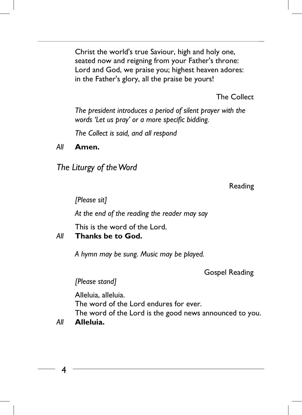Christ the world's true Saviour, high and holy one, Christ the world's true Saviour, high and holy one, seated now and reigning from your Father's throne: seated now and reigning from your Father's throne: Lord and God, we praise you; highest heaven adores: Lord and God, we praise you; highest heaven adores: in the Father's glory, all the praise be yours! in the Father's glory, all the praise be yours!

The Collect The Collect

*The president introduces a period of silent prayer with the The president introduces a period of silent prayer with the words 'Let us pray' or a more specific bidding. words 'Let us pray' or a more specific bidding.*

*The Collect is said, and all respond The Collect is said, and all respond*

*All* **Amen.** *All* **Amen.**

*The Liturgy of the Word The Liturgy of the Word*

Reading Reading

*[Please sit] [Please sit]* 

*At the end of the reading the reader may say At the end of the reading the reader may say*

This is the word of the Lord. This is the word of the Lord.

### *All* **Thanks be to God.** *All* **Thanks be to God.**

*A hymn may be sung. Music may be played. A hymn may be sung. Music may be played.* 

Gospel Reading Gospel Reading

*[Please stand] [Please stand]*

Alleluia, alleluia. Alleluia, alleluia. The word of the Lord endures for ever. The word of the Lord endures for ever. The word of the Lord is the good news announced to you. The word of the Lord is the good news announced to you.

*All* **Alleluia.** *All* **Alleluia.**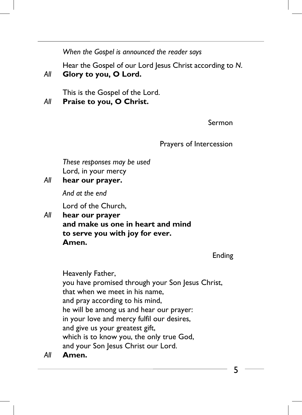*When the Gospel is announced the reader says When the Gospel is announced the reader says* 

Hear the Gospel of our Lord Jesus Christ according to *N*. Hear the Gospel of our Lord Jesus Christ according to *N*. *All* **Glory to you, O Lord.** *All* **Glory to you, O Lord.**

This is the Gospel of the Lord. This is the Gospel of the Lord. *All* **Praise to you, O Christ.** *All* **Praise to you, O Christ.**

Sermon Sermon

# Prayers of Intercession Prayers of Intercession

*These responses may be used These responses may be used* Lord, in your mercy Lord, in your mercy

*All* **hear our prayer.** *All* **hear our prayer.**

*And at the end And at the end*

Lord of the Church, Lord of the Church,

*All* **hear our prayer** *All* **hear our prayer and make us one in heart and mind and make us one in heart and mind to serve you with joy for ever. to serve you with joy for ever. Amen. Amen.**

Ending Ending

Heavenly Father, Heavenly Father, you have promised through your Son Jesus Christ, you have promised through your Son Jesus Christ, that when we meet in his name, that when we meet in his name, and pray according to his mind, and pray according to his mind, he will be among us and hear our prayer: he will be among us and hear our prayer: in your love and mercy fulfil our desires, in your love and mercy fulfil our desires, and give us your greatest gift, and give us your greatest gift, which is to know you, the only true God, which is to know you, the only true God, and your Son Jesus Christ our Lord. and your Son Jesus Christ our Lord.

*All* **Amen.** *All* **Amen.**

5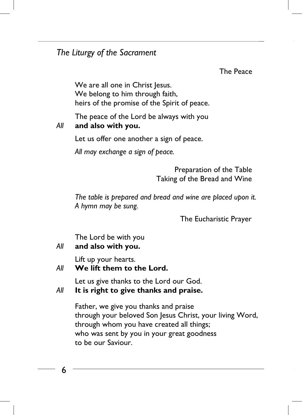# *The Liturgy of the Sacrament The Liturgy of the Sacrament*

The Peace The Peace

We are all one in Christ Jesus. We are all one in Christ Jesus. We belong to him through faith, We belong to him through faith, heirs of the promise of the Spirit of peace. heirs of the promise of the Spirit of peace.

The peace of the Lord be always with you The peace of the Lord be always with you

# *All* **and also with you.** *All* **and also with you.**

Let us offer one another a sign of peace. Let us offer one another a sign of peace.

*All may exchange a sign of peace. All may exchange a sign of peace.*

 Preparation of the Table Preparation of the Table Taking of the Bread and Wine Taking of the Bread and Wine

*The table is prepared and bread and wine are placed upon it. The table is prepared and bread and wine are placed upon it. A hymn may be sung. A hymn may be sung.*

The Eucharistic Prayer The Eucharistic Prayer

The Lord be with you The Lord be with you

# *All* **and also with you.** *All* **and also with you.**

Lift up your hearts. Lift up your hearts.

# *All* **We lift them to the Lord.** *All* **We lift them to the Lord.**

Let us give thanks to the Lord our God. Let us give thanks to the Lord our God.

# *All* **It is right to give thanks and praise.** *All* **It is right to give thanks and praise.**

Father, we give you thanks and praise Father, we give you thanks and praise through your beloved Son Jesus Christ, your living Word, through your beloved Son Jesus Christ, your living Word, through whom you have created all things; through whom you have created all things; who was sent by you in your great goodness who was sent by you in your great goodness to be our Saviour. to be our Saviour.

6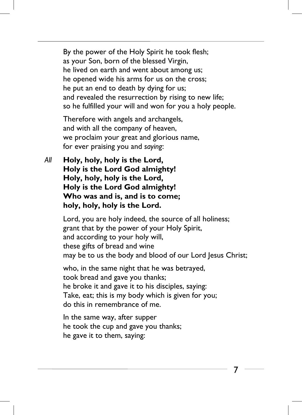By the power of the Holy Spirit he took flesh; By the power of the Holy Spirit he took flesh; as your Son, born of the blessed Virgin, as your Son, born of the blessed Virgin, he lived on earth and went about among us; he lived on earth and went about among us; he opened wide his arms for us on the cross; he opened wide his arms for us on the cross; he put an end to death by dying for us; he put an end to death by dying for us; and revealed the resurrection by rising to new life; and revealed the resurrection by rising to new life; so he fulfilled your will and won for you a holy people. so he fulfilled your will and won for you a holy people.

Therefore with angels and archangels, Therefore with angels and archangels, and with all the company of heaven, and with all the company of heaven, we proclaim your great and glorious name, we proclaim your great and glorious name, for ever praising you and *saying*: for ever praising you and *saying*:

*All* **Holy, holy, holy is the Lord,** *All* **Holy, holy, holy is the Lord, Holy is the Lord God almighty! Holy is the Lord God almighty! Holy, holy, holy is the Lord, Holy, holy, holy is the Lord, Holy is the Lord God almighty! Holy is the Lord God almighty! Who was and is, and is to come; Who was and is, and is to come; holy, holy, holy is the Lord. holy, holy, holy is the Lord.**

> Lord, you are holy indeed, the source of all holiness; Lord, you are holy indeed, the source of all holiness; grant that by the power of your Holy Spirit, grant that by the power of your Holy Spirit, and according to your holy will, and according to your holy will, these gifts of bread and wine these gifts of bread and wine may be to us the body and blood of our Lord Jesus Christ; may be to us the body and blood of our Lord Jesus Christ;

> > 7 7

who, in the same night that he was betrayed, who, in the same night that he was betrayed, took bread and gave you thanks; took bread and gave you thanks; he broke it and gave it to his disciples, saying: he broke it and gave it to his disciples, saying: Take, eat; this is my body which is given for you; Take, eat; this is my body which is given for you; do this in remembrance of me. do this in remembrance of me.

In the same way, after supper In the same way, after supper he took the cup and gave you thanks; he took the cup and gave you thanks; he gave it to them, saying: he gave it to them, saying: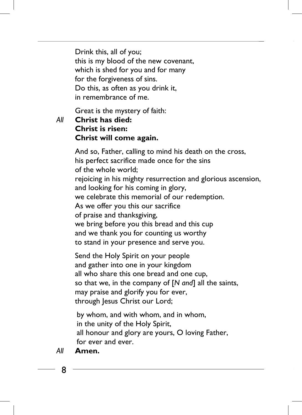Drink this, all of you; Drink this, all of you; this is my blood of the new covenant, this is my blood of the new covenant, which is shed for you and for many which is shed for you and for many for the forgiveness of sins. for the forgiveness of sins. Do this, as often as you drink it, Do this, as often as you drink it, in remembrance of me. in remembrance of me.

Great is the mystery of faith: Great is the mystery of faith:

*All* **Christ has died:** *All* **Christ has died: Christ is risen: Christ is risen: Christ will come again. Christ will come again.**

> And so, Father, calling to mind his death on the cross, And so, Father, calling to mind his death on the cross, his perfect sacrifice made once for the sins his perfect sacrifice made once for the sins of the whole world; of the whole world; rejoicing in his mighty resurrection and glorious ascension, rejoicing in his mighty resurrection and glorious ascension, and looking for his coming in glory, and looking for his coming in glory, we celebrate this memorial of our redemption. we celebrate this memorial of our redemption. As we offer you this our sacrifice As we offer you this our sacrifice of praise and thanksgiving, of praise and thanksgiving, we bring before you this bread and this cup we bring before you this bread and this cup and we thank you for counting us worthy and we thank you for counting us worthy to stand in your presence and serve you. to stand in your presence and serve you.

Send the Holy Spirit on your people Send the Holy Spirit on your people and gather into one in your kingdom and gather into one in your kingdom all who share this one bread and one cup, all who share this one bread and one cup, so that we, in the company of [*N and*] all the saints, so that we, in the company of [*N and*] all the saints, may praise and glorify you for ever, may praise and glorify you for ever, through Jesus Christ our Lord; through Jesus Christ our Lord;

by whom, and with whom, and in whom, by whom, and with whom, and in whom, in the unity of the Holy Spirit, in the unity of the Holy Spirit, all honour and glory are yours, O loving Father, all honour and glory are yours, O loving Father, for ever and ever. for ever and ever.

## *All* **Amen.** *All* **Amen.**

 $\overline{a}$ 

8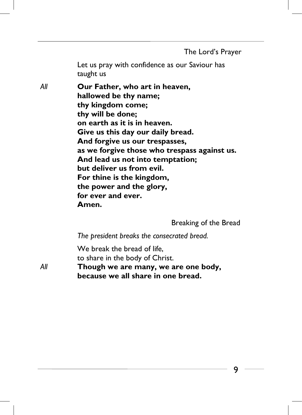The Lord's Prayer The Lord's Prayer

Let us pray with confidence as our Saviour has Let us pray with confidence as our Saviour has taught us taught us

*All* **Our Father, who art in heaven,** *All* **Our Father, who art in heaven, hallowed be thy name; hallowed be thy name; thy kingdom come; thy kingdom come; thy will be done; thy will be done; on earth as it is in heaven. on earth as it is in heaven. Give us this day our daily bread. Give us this day our daily bread. And forgive us our trespasses, And forgive us our trespasses, as we forgive those who trespass against us. as we forgive those who trespass against us. And lead us not into temptation; And lead us not into temptation; but deliver us from evil. but deliver us from evil. For thine is the kingdom, For thine is the kingdom, the power and the glory, the power and the glory, for ever and ever. for ever and ever. Amen. Amen.**

Breaking of the Bread Breaking of the Bread

*The president breaks the consecrated bread. The president breaks the consecrated bread.* 

We break the bread of life, We break the bread of life, to share in the body of Christ. to share in the body of Christ.

*All* **Though we are many, we are one body,** *All* **Though we are many, we are one body, because we all share in one bread. because we all share in one bread.**

9

9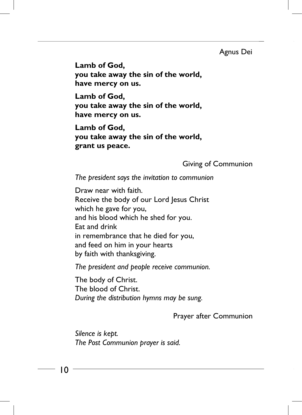#### Agnus Dei Agnus Dei

**Lamb of God, Lamb of God, you take away the sin of the world, you take away the sin of the world, have mercy on us. have mercy on us.**

**Lamb of God, Lamb of God, you take away the sin of the world, you take away the sin of the world, have mercy on us. have mercy on us.**

**Lamb of God, Lamb of God, you take away the sin of the world, you take away the sin of the world, grant us peace. grant us peace.**

#### Giving of Communion Giving of Communion

*The president says the invitation to communion The president says the invitation to communion* 

Draw near with faith. Draw near with faith. Receive the body of our Lord Jesus Christ Receive the body of our Lord Jesus Christ which he gave for you, which he gave for you, and his blood which he shed for you. and his blood which he shed for you. Eat and drink Eat and drink in remembrance that he died for you, in remembrance that he died for you, and feed on him in your hearts and feed on him in your hearts by faith with thanksgiving. by faith with thanksgiving.

*The president and people receive communion. The president and people receive communion.* 

The body of Christ. The body of Christ. The blood of Christ. The blood of Christ. *During the distribution hymns may be sung. During the distribution hymns may be sung.* 

Prayer after Communion Prayer after Communion

*Silence is kept. Silence is kept. The Post Communion prayer is said. The Post Communion prayer is said.*

10

 $\overline{\phantom{0}}$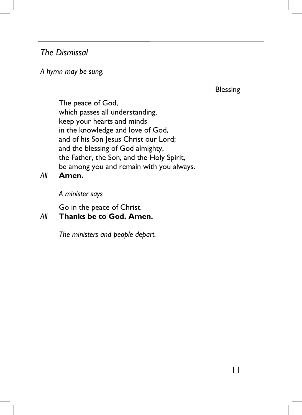# *The Dismissal The Dismissal*

# *A hymn may be sung. A hymn may be sung.*

Blessing Blessing

The peace of God, The peace of God, which passes all understanding, which passes all understanding, keep your hearts and minds keep your hearts and minds in the knowledge and love of God, in the knowledge and love of God, and of his Son Jesus Christ our Lord; and of his Son Jesus Christ our Lord; and the blessing of God almighty, and the blessing of God almighty, the Father, the Son, and the Holy Spirit, the Father, the Son, and the Holy Spirit, be among you and remain with you always. be among you and remain with you always.

*All* **Amen.** *All* **Amen.**

*A minister says A minister says* 

Go in the peace of Christ. Go in the peace of Christ.

### *All* **Thanks be to God. Amen.** *All* **Thanks be to God. Amen.**

*The ministers and people depart. The ministers and people depart.*

 $\overline{\phantom{0}}$